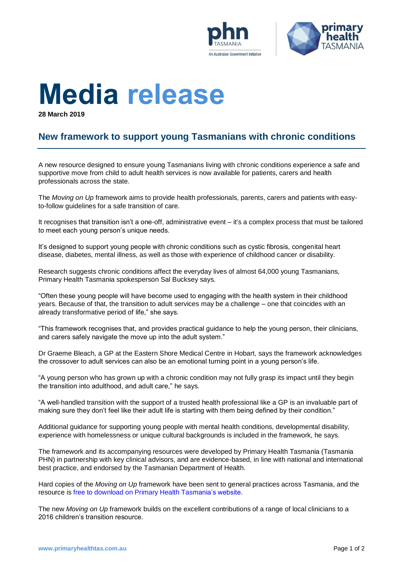



# **Media release**

**28 March 2019**

# **New framework to support young Tasmanians with chronic conditions**

A new resource designed to ensure young Tasmanians living with chronic conditions experience a safe and supportive move from child to adult health services is now available for patients, carers and health professionals across the state.

The *Moving on Up* framework aims to provide health professionals, parents, carers and patients with easyto-follow guidelines for a safe transition of care.

It recognises that transition isn't a one-off, administrative event – it's a complex process that must be tailored to meet each young person's unique needs.

It's designed to support young people with chronic conditions such as cystic fibrosis, congenital heart disease, diabetes, mental illness, as well as those with experience of childhood cancer or disability.

Research suggests chronic conditions affect the everyday lives of almost 64,000 young Tasmanians, Primary Health Tasmania spokesperson Sal Bucksey says.

"Often these young people will have become used to engaging with the health system in their childhood years. Because of that, the transition to adult services may be a challenge – one that coincides with an already transformative period of life," she says.

"This framework recognises that, and provides practical guidance to help the young person, their clinicians, and carers safely navigate the move up into the adult system."

Dr Graeme Bleach, a GP at the Eastern Shore Medical Centre in Hobart, says the framework acknowledges the crossover to adult services can also be an emotional turning point in a young person's life.

"A young person who has grown up with a chronic condition may not fully grasp its impact until they begin the transition into adulthood, and adult care," he says.

"A well-handled transition with the support of a trusted health professional like a GP is an invaluable part of making sure they don't feel like their adult life is starting with them being defined by their condition."

Additional guidance for supporting young people with mental health conditions, developmental disability, experience with homelessness or unique cultural backgrounds is included in the framework, he says.

The framework and its accompanying resources were developed by Primary Health Tasmania (Tasmania PHN) in partnership with key clinical advisors, and are evidence-based, in line with national and international best practice, and endorsed by the Tasmanian Department of Health.

Hard copies of the *Moving on Up* framework have been sent to general practices across Tasmania, and the resource is [free to download on Primary Health Tasmania's website.](https://www.primaryhealthtas.com.au/wp-content/uploads/2019/03/Moving-on-Up-Framework.pdf)

The new *Moving on Up* framework builds on the excellent contributions of a range of local clinicians to a 2016 children's transition resource.